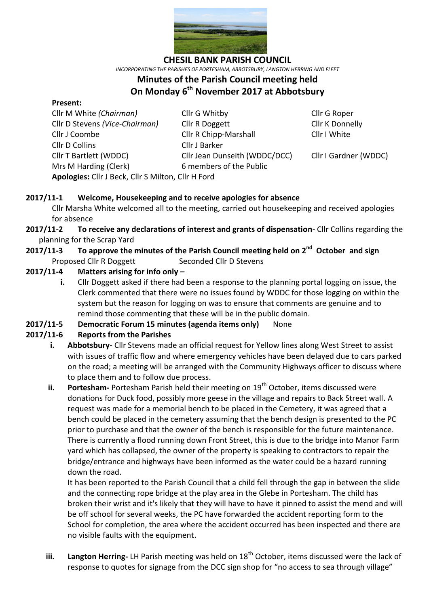

**CHESIL BANK PARISH COUNCIL**

*INCORPORATING THE PARISHES OF PORTESHAM, ABBOTSBURY, LANGTON HERRING AND FLEET*

#### **Minutes of the Parish Council meeting held**

# **On Monday 6 th November 2017 at Abbotsbury**

#### **Present:**

Cllr D Collins Cllr J Barker Mrs M Harding (Clerk)6 members of the Public

Cllr M White *(Chairman)* Cllr G Whitby Cllr G Roper Cllr D Stevens *(Vice-Chairman)* Cllr R Doggett Cllr K Donnelly Cllr J Coombe Cllr R Chipp-Marshall Cllr I White Cllr T Bartlett (WDDC) Cllr Jean Dunseith (WDDC/DCC) Cllr I Gardner (WDDC)

**Apologies:** Cllr J Beck, Cllr S Milton, Cllr H Ford

### **2017/11-1 Welcome, Housekeeping and to receive apologies for absence**

Cllr Marsha White welcomed all to the meeting, carried out housekeeping and received apologies for absence

- **2017/11-2 To receive any declarations of interest and grants of dispensation-** Cllr Collins regarding the planning for the Scrap Yard
- **2017/11-3** To approve the minutes of the Parish Council meeting held on 2<sup>nd</sup> October and sign Proposed Cllr R Doggett Seconded Cllr D Stevens

### **2017/11-4 Matters arising for info only –**

**i.** Cllr Doggett asked if there had been a response to the planning portal logging on issue, the Clerk commented that there were no issues found by WDDC for those logging on within the system but the reason for logging on was to ensure that comments are genuine and to remind those commenting that these will be in the public domain.

## **2017/11-5 Democratic Forum 15 minutes (agenda items only)** None

## **2017/11-6 Reports from the Parishes**

- **i. Abbotsbury-** Cllr Stevens made an official request for Yellow lines along West Street to assist with issues of traffic flow and where emergency vehicles have been delayed due to cars parked on the road; a meeting will be arranged with the Community Highways officer to discuss where to place them and to follow due process.
- **ii. Portesham-** Portesham Parish held their meeting on 19<sup>th</sup> October, items discussed were donations for Duck food, possibly more geese in the village and repairs to Back Street wall. A request was made for a memorial bench to be placed in the Cemetery, it was agreed that a bench could be placed in the cemetery assuming that the bench design is presented to the PC prior to purchase and that the owner of the bench is responsible for the future maintenance. There is currently a flood running down Front Street, this is due to the bridge into Manor Farm yard which has collapsed, the owner of the property is speaking to contractors to repair the bridge/entrance and highways have been informed as the water could be a hazard running down the road.

It has been reported to the Parish Council that a child fell through the gap in between the slide and the connecting rope bridge at the play area in the Glebe in Portesham. The child has broken their wrist and it's likely that they will have to have it pinned to assist the mend and will be off school for several weeks, the PC have forwarded the accident reporting form to the School for completion, the area where the accident occurred has been inspected and there are no visible faults with the equipment.

**iii.** Langton Herring-LH Parish meeting was held on 18<sup>th</sup> October, items discussed were the lack of response to quotes for signage from the DCC sign shop for "no access to sea through village"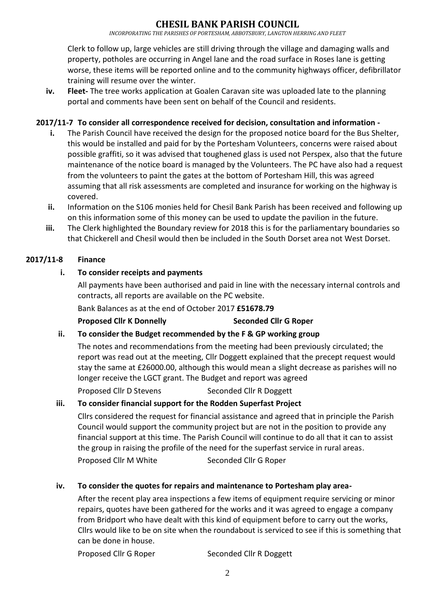## **CHESIL BANK PARISH COUNCIL**

*INCORPORATING THE PARISHES OF PORTESHAM, ABBOTSBURY, LANGTON HERRING AND FLEET*

Clerk to follow up, large vehicles are still driving through the village and damaging walls and property, potholes are occurring in Angel lane and the road surface in Roses lane is getting worse, these items will be reported online and to the community highways officer, defibrillator training will resume over the winter.

**iv. Fleet-** The tree works application at Goalen Caravan site was uploaded late to the planning portal and comments have been sent on behalf of the Council and residents.

#### **2017/11-7 To consider all correspondence received for decision, consultation and information -**

- **i.** The Parish Council have received the design for the proposed notice board for the Bus Shelter, this would be installed and paid for by the Portesham Volunteers, concerns were raised about possible graffiti, so it was advised that toughened glass is used not Perspex, also that the future maintenance of the notice board is managed by the Volunteers. The PC have also had a request from the volunteers to paint the gates at the bottom of Portesham Hill, this was agreed assuming that all risk assessments are completed and insurance for working on the highway is covered.
- **ii.** Information on the S106 monies held for Chesil Bank Parish has been received and following up on this information some of this money can be used to update the pavilion in the future.
- **iii.** The Clerk highlighted the Boundary review for 2018 this is for the parliamentary boundaries so that Chickerell and Chesil would then be included in the South Dorset area not West Dorset.

#### **2017/11-8 Finance**

#### **i. To consider receipts and payments**

All payments have been authorised and paid in line with the necessary internal controls and contracts, all reports are available on the PC website.

Bank Balances as at the end of October 2017 **£51678.79**

**Proposed Cllr K Donnelly Seconded Cllr G Roper**

#### **ii. To consider the Budget recommended by the F & GP working group**

The notes and recommendations from the meeting had been previously circulated; the report was read out at the meeting, Cllr Doggett explained that the precept request would stay the same at £26000.00, although this would mean a slight decrease as parishes will no longer receive the LGCT grant. The Budget and report was agreed

Proposed Cllr D Stevens Seconded Cllr R Doggett

#### **iii. To consider financial support for the Rodden Superfast Project**

Cllrs considered the request for financial assistance and agreed that in principle the Parish Council would support the community project but are not in the position to provide any financial support at this time. The Parish Council will continue to do all that it can to assist the group in raising the profile of the need for the superfast service in rural areas.

Proposed Cllr M White Seconded Cllr G Roper

#### **iv. To consider the quotes for repairs and maintenance to Portesham play area-**

After the recent play area inspections a few items of equipment require servicing or minor repairs, quotes have been gathered for the works and it was agreed to engage a company from Bridport who have dealt with this kind of equipment before to carry out the works, Cllrs would like to be on site when the roundabout is serviced to see if this is something that can be done in house.

Proposed Cllr G Roper Seconded Cllr R Doggett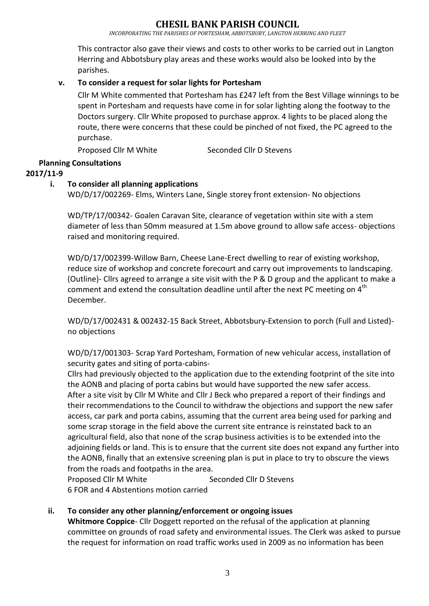*INCORPORATING THE PARISHES OF PORTESHAM, ABBOTSBURY, LANGTON HERRING AND FLEET*

This contractor also gave their views and costs to other works to be carried out in Langton Herring and Abbotsbury play areas and these works would also be looked into by the parishes.

### **v. To consider a request for solar lights for Portesham**

Cllr M White commented that Portesham has £247 left from the Best Village winnings to be spent in Portesham and requests have come in for solar lighting along the footway to the Doctors surgery. Cllr White proposed to purchase approx. 4 lights to be placed along the route, there were concerns that these could be pinched of not fixed, the PC agreed to the purchase.

Proposed Cllr M White Seconded Cllr D Stevens

## **Planning Consultations**

**2017/11-9**

#### **i. To consider all planning applications**

WD/D/17/002269- Elms, Winters Lane, Single storey front extension- No objections

WD/TP/17/00342- Goalen Caravan Site, clearance of vegetation within site with a stem diameter of less than 50mm measured at 1.5m above ground to allow safe access- objections raised and monitoring required.

WD/D/17/002399-Willow Barn, Cheese Lane-Erect dwelling to rear of existing workshop, reduce size of workshop and concrete forecourt and carry out improvements to landscaping. (Outline)- Cllrs agreed to arrange a site visit with the P & D group and the applicant to make a comment and extend the consultation deadline until after the next PC meeting on  $4<sup>th</sup>$ December.

WD/D/17/002431 & 002432-15 Back Street, Abbotsbury-Extension to porch (Full and Listed) no objections

WD/D/17/001303- Scrap Yard Portesham, Formation of new vehicular access, installation of security gates and siting of porta-cabins-

Cllrs had previously objected to the application due to the extending footprint of the site into the AONB and placing of porta cabins but would have supported the new safer access. After a site visit by Cllr M White and Cllr J Beck who prepared a report of their findings and their recommendations to the Council to withdraw the objections and support the new safer access, car park and porta cabins, assuming that the current area being used for parking and some scrap storage in the field above the current site entrance is reinstated back to an agricultural field, also that none of the scrap business activities is to be extended into the adjoining fields or land. This is to ensure that the current site does not expand any further into the AONB, finally that an extensive screening plan is put in place to try to obscure the views from the roads and footpaths in the area.

Proposed Cllr M White Seconded Cllr D Stevens

6 FOR and 4 Abstentions motion carried

#### **ii. To consider any other planning/enforcement or ongoing issues**

**Whitmore Coppice**- Cllr Doggett reported on the refusal of the application at planning committee on grounds of road safety and environmental issues. The Clerk was asked to pursue the request for information on road traffic works used in 2009 as no information has been